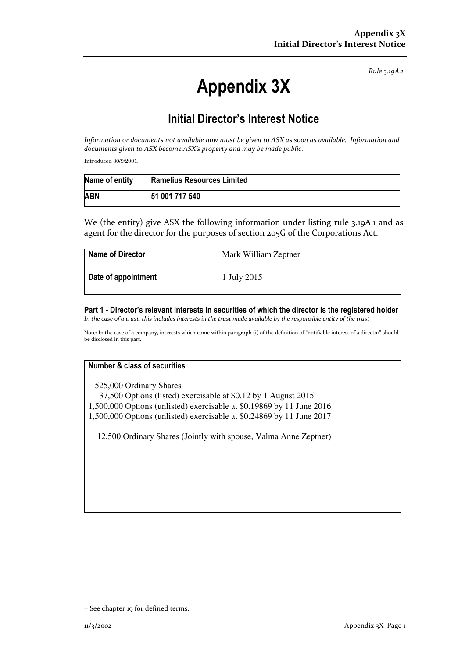Rule 3.19A.1

# Appendix 3X

## Initial Director's Interest Notice

Information or documents not available now must be given to ASX as soon as available. Information and documents given to ASX become ASX's property and may be made public.

Introduced 30/9/2001.

| Name of entity | <b>Ramelius Resources Limited</b> |
|----------------|-----------------------------------|
| <b>ABN</b>     | 51 001 717 540                    |

We (the entity) give ASX the following information under listing rule 3.19A.1 and as agent for the director for the purposes of section 205G of the Corporations Act.

| <b>Name of Director</b> | Mark William Zeptner |
|-------------------------|----------------------|
| Date of appointment     | 1 July 2015          |

Part 1 - Director's relevant interests in securities of which the director is the registered holder In the case of a trust, this includes interests in the trust made available by the responsible entity of the trust

Note: In the case of a company, interests which come within paragraph (i) of the definition of "notifiable interest of a director" should be disclosed in this part.

### Number & class of securities

525,000 Ordinary Shares

 37,500 Options (listed) exercisable at \$0.12 by 1 August 2015 1,500,000 Options (unlisted) exercisable at \$0.19869 by 11 June 2016 1,500,000 Options (unlisted) exercisable at \$0.24869 by 11 June 2017

12,500 Ordinary Shares (Jointly with spouse, Valma Anne Zeptner)

<sup>+</sup> See chapter 19 for defined terms.